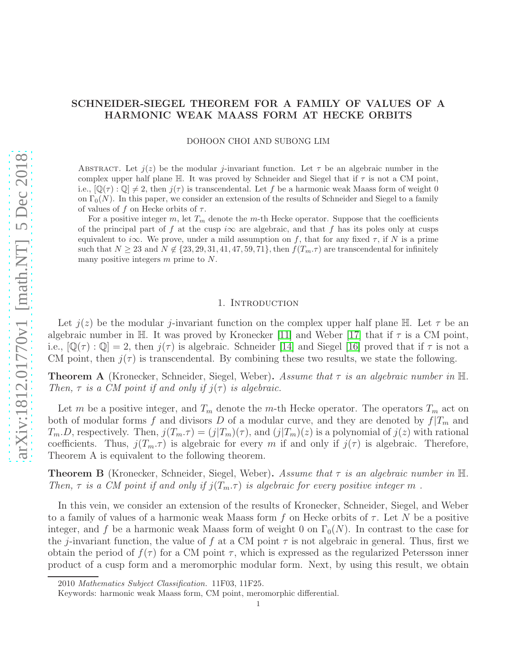# SCHNEIDER-SIEGEL THEOREM FOR A FAMILY OF VALUES OF A HARMONIC WEAK MAASS FORM AT HECKE ORBITS

DOHOON CHOI AND SUBONG LIM

ABSTRACT. Let  $j(z)$  be the modular j-invariant function. Let  $\tau$  be an algebraic number in the complex upper half plane  $\mathbb{H}$ . It was proved by Schneider and Siegel that if  $\tau$  is not a CM point, i.e.,  $[\mathbb{Q}(\tau):\mathbb{Q}]\neq 2$ , then  $j(\tau)$  is transcendental. Let f be a harmonic weak Maass form of weight 0 on  $\Gamma_0(N)$ . In this paper, we consider an extension of the results of Schneider and Siegel to a family of values of f on Hecke orbits of  $\tau$ .

For a positive integer  $m$ , let  $T_m$  denote the m-th Hecke operator. Suppose that the coefficients of the principal part of f at the cusp i $\infty$  are algebraic, and that f has its poles only at cusps equivalent to i $\infty$ . We prove, under a mild assumption on f, that for any fixed  $\tau$ , if N is a prime such that  $N \geq 23$  and  $N \notin \{23, 29, 31, 41, 47, 59, 71\}$ , then  $f(T_m, \tau)$  are transcendental for infinitely many positive integers m prime to N.

## 1. INTRODUCTION

Let  $j(z)$  be the modular j-invariant function on the complex upper half plane H. Let  $\tau$  be an algebraic number in H. It was proved by Kronecker [\[11\]](#page-13-0) and Weber [\[17\]](#page-13-1) that if  $\tau$  is a CM point, i.e.,  $[\mathbb{Q}(\tau):\mathbb{Q}]=2$ , then  $j(\tau)$  is algebraic. Schneider [\[14\]](#page-13-2) and Siegel [\[16\]](#page-13-3) proved that if  $\tau$  is not a CM point, then  $j(\tau)$  is transcendental. By combining these two results, we state the following.

**Theorem A** (Kronecker, Schneider, Siegel, Weber). Assume that  $\tau$  is an algebraic number in  $\mathbb{H}$ . Then,  $\tau$  is a CM point if and only if  $j(\tau)$  is algebraic.

Let m be a positive integer, and  $T_m$  denote the m-th Hecke operator. The operators  $T_m$  act on both of modular forms f and divisors D of a modular curve, and they are denoted by  $f|T_m$  and  $T_m.D$ , respectively. Then,  $j(T_m.\tau) = (j|T_m)(\tau)$ , and  $(j|T_m)(z)$  is a polynomial of  $j(z)$  with rational coefficients. Thus,  $j(T_m, \tau)$  is algebraic for every m if and only if  $j(\tau)$  is algebraic. Therefore, Theorem A is equivalent to the following theorem.

**Theorem B** (Kronecker, Schneider, Siegel, Weber). Assume that  $\tau$  is an algebraic number in  $\mathbb{H}$ . Then,  $\tau$  is a CM point if and only if  $j(T_m.\tau)$  is algebraic for every positive integer m.

In this vein, we consider an extension of the results of Kronecker, Schneider, Siegel, and Weber to a family of values of a harmonic weak Maass form f on Hecke orbits of  $\tau$ . Let N be a positive integer, and f be a harmonic weak Maass form of weight 0 on  $\Gamma_0(N)$ . In contrast to the case for the j-invariant function, the value of f at a CM point  $\tau$  is not algebraic in general. Thus, first we obtain the period of  $f(\tau)$  for a CM point  $\tau$ , which is expressed as the regularized Petersson inner product of a cusp form and a meromorphic modular form. Next, by using this result, we obtain

<sup>2010</sup> Mathematics Subject Classification. 11F03, 11F25.

Keywords: harmonic weak Maass form, CM point, meromorphic differential.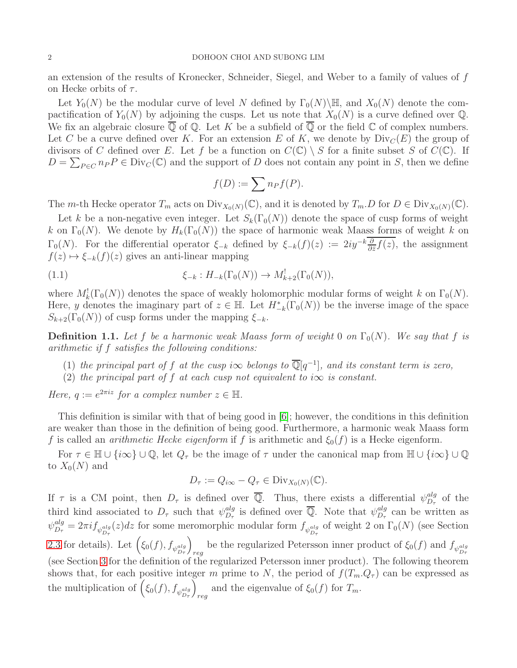an extension of the results of Kronecker, Schneider, Siegel, and Weber to a family of values of f on Hecke orbits of  $\tau$ .

Let  $Y_0(N)$  be the modular curve of level N defined by  $\Gamma_0(N)\backslash\mathbb{H}$ , and  $X_0(N)$  denote the compactification of  $Y_0(N)$  by adjoining the cusps. Let us note that  $X_0(N)$  is a curve defined over Q. We fix an algebraic closure  $\mathbb Q$  of  $\mathbb Q$ . Let K be a subfield of  $\mathbb Q$  or the field  $\mathbb C$  of complex numbers. Let C be a curve defined over K. For an extension E of K, we denote by  $Div_C(E)$  the group of divisors of C defined over E. Let f be a function on  $C(\mathbb{C}) \setminus S$  for a finite subset S of  $C(\mathbb{C})$ . If  $D = \sum_{P \in \mathcal{C}} n_P P \in \text{Div}_{\mathcal{C}}(\mathbb{C})$  and the support of D does not contain any point in S, then we define

$$
f(D) := \sum n_P f(P).
$$

The m-th Hecke operator  $T_m$  acts on  $Div_{X_0(N)}(\mathbb{C})$ , and it is denoted by  $T_m.D$  for  $D \in Div_{X_0(N)}(\mathbb{C})$ .

Let k be a non-negative even integer. Let  $S_k(\Gamma_0(N))$  denote the space of cusp forms of weight k on Γ<sub>0</sub>(N). We denote by  $H_k(\Gamma_0(N))$  the space of harmonic weak Maass forms of weight k on  $\Gamma_0(N)$ . For the differential operator  $\xi_{-k}$  defined by  $\xi_{-k}(f)(z) := 2iy^{-k}\frac{\partial}{\partial \overline{z}}f(z)$ , the assignment  $f(z) \mapsto \xi_{-k}(f)(z)$  gives an anti-linear mapping

(1.1) 
$$
\xi_{-k} : H_{-k}(\Gamma_0(N)) \to M^!_{k+2}(\Gamma_0(N)),
$$

where  $M^!_k(\Gamma_0(N))$  denotes the space of weakly holomorphic modular forms of weight k on  $\Gamma_0(N)$ . Here, y denotes the imaginary part of  $z \in \mathbb{H}$ . Let  $H^*_{-k}(\Gamma_0(N))$  be the inverse image of the space  $S_{k+2}(\Gamma_0(N))$  of cusp forms under the mapping  $\xi_{-k}$ .

**Definition 1.1.** Let f be a harmonic weak Maass form of weight 0 on  $\Gamma_0(N)$ . We say that f is arithmetic if f satisfies the following conditions:

- (1) the principal part of f at the cusp i $\infty$  belongs to  $\overline{\mathbb{Q}}[q^{-1}]$ , and its constant term is zero,
- (2) the principal part of f at each cusp not equivalent to i $\infty$  is constant.

Here,  $q := e^{2\pi i z}$  for a complex number  $z \in \mathbb{H}$ .

This definition is similar with that of being good in [\[6\]](#page-12-0); however, the conditions in this definition are weaker than those in the definition of being good. Furthermore, a harmonic weak Maass form f is called an *arithmetic Hecke eigenform* if f is arithmetic and  $\xi_0(f)$  is a Hecke eigenform.

For  $\tau \in \mathbb{H} \cup \{i\infty\} \cup \mathbb{Q}$ , let  $Q_{\tau}$  be the image of  $\tau$  under the canonical map from  $\mathbb{H} \cup \{i\infty\} \cup \mathbb{Q}$ to  $X_0(N)$  and

$$
D_{\tau} := Q_{i\infty} - Q_{\tau} \in \text{Div}_{X_0(N)}(\mathbb{C}).
$$

If  $\tau$  is a CM point, then  $D_{\tau}$  is defined over  $\overline{\mathbb{Q}}$ . Thus, there exists a differential  $\psi_{D_{\tau}}^{alg}$  $\frac{u}{D_{\tau}}$  of the third kind associated to  $D_{\tau}$  such that  $\psi_{D_{\tau}}^{alg}$  $\mathcal{Q}_{D_{\tau}}^{alg}$  is defined over  $\overline{\mathbb{Q}}$ . Note that  $\psi_{D_{\tau}}^{alg}$  $_{D_{\tau}}^{aug}$  can be written as  $\psi_{D_{\tau}}^{alg} = 2\pi i f_{\psi_{D_{\tau}}^{alg}}(z)dz$  for some meromorphic modular form  $f_{\psi_{D_{\tau}}^{alg}}$  of weight 2 on  $\Gamma_0(N)$  (see Section [2.3](#page-4-0) for details). Let  $\left(\xi_0(f), f_{\psi_{D_{\tau}}^{alg}}\right)$  $\setminus$ be the regularized Petersson inner product of  $\xi_0(f)$  and  $f_{\psi_{D_{\tau}}^{alg}}$ (see Section [3](#page-5-0) for the definition of the regularized Petersson inner product). The following theorem shows that, for each positive integer m prime to N, the period of  $f(T_m, Q_\tau)$  can be expressed as the multiplication of  $\left(\xi_0(f), f_{\psi_{D_{\tau}}^{alg}}\right)$  $\setminus$ and the eigenvalue of  $\xi_0(f)$  for  $T_m$ .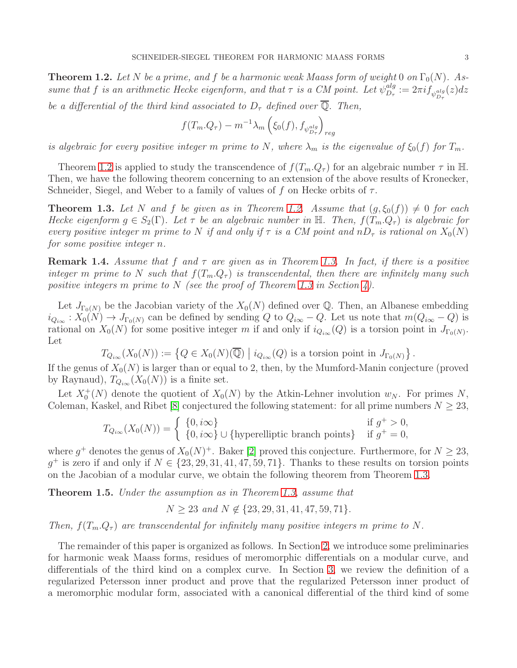<span id="page-2-0"></span>**Theorem 1.2.** Let N be a prime, and f be a harmonic weak Maass form of weight 0 on  $\Gamma_0(N)$ . Assume that f is an arithmetic Hecke eigenform, and that  $\tau$  is a CM point. Let  $\psi_{D_{\tau}}^{alg}$  $\delta_{D_{\tau}}^{aug}:=2\pi i f_{\psi_{D_{\tau}}^{alg}}(z)dz$ be a differential of the third kind associated to  $D_{\tau}$  defined over  $\overline{\mathbb{Q}}$ . Then,

$$
f(T_m.Q_\tau) - m^{-1}\lambda_m \left(\xi_0(f), f_{\psi^{alg}_{D_\tau}}\right)_{reg}
$$

is algebraic for every positive integer m prime to N, where  $\lambda_m$  is the eigenvalue of  $\xi_0(f)$  for  $T_m$ .

Theorem [1.2](#page-2-0) is applied to study the transcendence of  $f(T_m.Q_\tau)$  for an algebraic number  $\tau$  in H. Then, we have the following theorem concerning to an extension of the above results of Kronecker, Schneider, Siegel, and Weber to a family of values of f on Hecke orbits of  $\tau$ .

<span id="page-2-1"></span>**Theorem 1.3.** Let N and f be given as in Theorem [1.2.](#page-2-0) Assume that  $(g, \xi_0(f)) \neq 0$  for each Hecke eigenform  $g \in S_2(\Gamma)$ . Let  $\tau$  be an algebraic number in  $\mathbb{H}$ . Then,  $f(T_m.Q_\tau)$  is algebraic for every positive integer m prime to N if and only if  $\tau$  is a CM point and  $nD_{\tau}$  is rational on  $X_0(N)$ for some positive integer n.

**Remark 1.4.** Assume that f and  $\tau$  are given as in Theorem [1.3.](#page-2-1) In fact, if there is a positive integer m prime to N such that  $f(T_m,Q_\tau)$  is transcendental, then there are infinitely many such positive integers m prime to N (see the proof of Theorem [1.3](#page-2-1) in Section [4\)](#page-7-0).

Let  $J_{\Gamma_0(N)}$  be the Jacobian variety of the  $X_0(N)$  defined over Q. Then, an Albanese embedding  $i_{Q_{i\infty}}$ :  $X_0(N) \to J_{\Gamma_0(N)}$  can be defined by sending Q to  $Q_{i\infty} - Q$ . Let us note that  $m(Q_{i\infty} - Q)$  is rational on  $X_0(N)$  for some positive integer m if and only if  $i_{Q_i}(\mathcal{Q})$  is a torsion point in  $J_{\Gamma_0(N)}$ . Let

$$
T_{Q_{i\infty}}(X_0(N)) := \left\{ Q \in X_0(N)(\overline{\mathbb{Q}}) \mid i_{Q_{i\infty}}(Q) \text{ is a torsion point in } J_{\Gamma_0(N)} \right\}.
$$

If the genus of  $X_0(N)$  is larger than or equal to 2, then, by the Mumford-Manin conjecture (proved by Raynaud),  $T_{Q_{i\infty}}(X_0(N))$  is a finite set.

Let  $X_0^+(N)$  denote the quotient of  $X_0(N)$  by the Atkin-Lehner involution  $w_N$ . For primes N, Coleman, Kaskel, and Ribet [\[8\]](#page-13-4) conjectured the following statement: for all prime numbers  $N \geq 23$ ,

$$
T_{Q_{i\infty}}(X_0(N)) = \begin{cases} \{0, i\infty\} & \text{if } g^+ > 0, \\ \{0, i\infty\} \cup \{\text{hyperelliptic branch points}\} & \text{if } g^+ = 0, \end{cases}
$$

where  $g^+$  denotes the genus of  $X_0(N)^+$ . Baker [\[2\]](#page-12-1) proved this conjecture. Furthermore, for  $N \geq 23$ ,  $g^+$  is zero if and only if  $N \in \{23, 29, 31, 41, 47, 59, 71\}$ . Thanks to these results on torsion points on the Jacobian of a modular curve, we obtain the following theorem from Theorem [1.3.](#page-2-1)

Theorem 1.5. Under the assumption as in Theorem [1.3,](#page-2-1) assume that

 $N \geq 23$  and  $N \notin \{23, 29, 31, 41, 47, 59, 71\}.$ 

Then,  $f(T_m, Q_\tau)$  are transcendental for infinitely many positive integers m prime to N.

The remainder of this paper is organized as follows. In Section [2,](#page-3-0) we introduce some preliminaries for harmonic weak Maass forms, residues of meromorphic differentials on a modular curve, and differentials of the third kind on a complex curve. In Section [3,](#page-5-0) we review the definition of a regularized Petersson inner product and prove that the regularized Petersson inner product of a meromorphic modular form, associated with a canonical differential of the third kind of some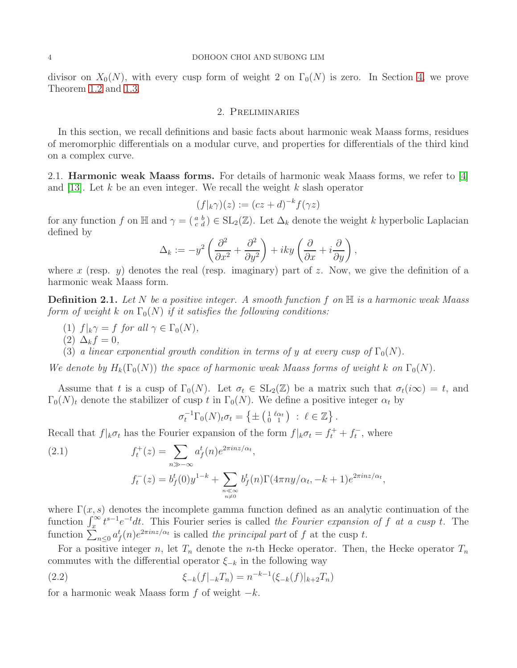### 4 DOHOON CHOI AND SUBONG LIM

<span id="page-3-0"></span>divisor on  $X_0(N)$ , with every cusp form of weight 2 on  $\Gamma_0(N)$  is zero. In Section [4,](#page-7-0) we prove Theorem [1.2](#page-2-0) and [1.3.](#page-2-1)

# 2. Preliminaries

In this section, we recall definitions and basic facts about harmonic weak Maass forms, residues of meromorphic differentials on a modular curve, and properties for differentials of the third kind on a complex curve.

2.1. Harmonic weak Maass forms. For details of harmonic weak Maass forms, we refer to [\[4\]](#page-12-2) and [\[13\]](#page-13-5). Let k be an even integer. We recall the weight  $k$  slash operator

$$
(f|_{k}\gamma)(z) := (cz+d)^{-k}f(\gamma z)
$$

for any function f on  $\mathbb{H}$  and  $\gamma = \binom{a b}{c d} \in SL_2(\mathbb{Z})$ . Let  $\Delta_k$  denote the weight k hyperbolic Laplacian defined by

$$
\Delta_k := -y^2 \left( \frac{\partial^2}{\partial x^2} + \frac{\partial^2}{\partial y^2} \right) + iky \left( \frac{\partial}{\partial x} + i \frac{\partial}{\partial y} \right),
$$

where x (resp. y) denotes the real (resp. imaginary) part of z. Now, we give the definition of a harmonic weak Maass form.

**Definition 2.1.** Let N be a positive integer. A smooth function f on  $\mathbb{H}$  is a harmonic weak Maass form of weight k on  $\Gamma_0(N)$  if it satisfies the following conditions:

(1)  $f|_{k}\gamma = f$  for all  $\gamma \in \Gamma_0(N)$ ,

$$
(2) \ \Delta_k f = 0,
$$

(3) a linear exponential growth condition in terms of y at every cusp of  $\Gamma_0(N)$ .

We denote by  $H_k(\Gamma_0(N))$  the space of harmonic weak Maass forms of weight k on  $\Gamma_0(N)$ .

Assume that t is a cusp of  $\Gamma_0(N)$ . Let  $\sigma_t \in SL_2(\mathbb{Z})$  be a matrix such that  $\sigma_t(i\infty) = t$ , and  $\Gamma_0(N)_t$  denote the stabilizer of cusp t in  $\Gamma_0(N)$ . We define a positive integer  $\alpha_t$  by

$$
\sigma_t^{-1} \Gamma_0(N)_t \sigma_t = \left\{ \pm \left( \begin{smallmatrix} 1 & \ell \alpha_t \\ 0 & 1 \end{smallmatrix} \right) : \ell \in \mathbb{Z} \right\}.
$$

Recall that  $f|_k \sigma_t$  has the Fourier expansion of the form  $f|_k \sigma_t = f_t^+ + f_t^-$ , where

(2.1) 
$$
f_t^+(z) = \sum_{n \gg -\infty} a_f^t(n) e^{2\pi i n z/\alpha_t}, f_t^-(z) = b_f^t(0) y^{1-k} + \sum_{\substack{n \ll \infty \\ n \neq 0}} b_f^t(n) \Gamma(4\pi n y/\alpha_t, -k+1) e^{2\pi i n z/\alpha_t},
$$

where  $\Gamma(x, s)$  denotes the incomplete gamma function defined as an analytic continuation of the function  $\int_x^{\infty} t^{s-1}e^{-t}dt$ . This Fourier series is called the Fourier expansion of f at a cusp t. The function  $\sum_{n\leq 0} a_f^t(n)e^{2\pi i n z/\alpha_t}$  is called the principal part of f at the cusp t.

For a positive integer n, let  $T_n$  denote the n-th Hecke operator. Then, the Hecke operator  $T_n$ commutes with the differential operator  $\xi_{-k}$  in the following way

<span id="page-3-1"></span>(2.2) 
$$
\xi_{-k}(f|_{-k}T_n) = n^{-k-1}(\xi_{-k}(f)|_{k+2}T_n)
$$

for a harmonic weak Maass form  $f$  of weight  $-k$ .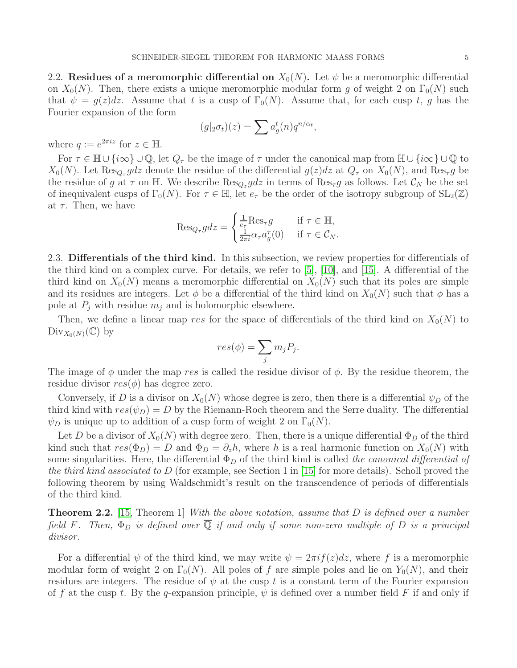2.2. Residues of a meromorphic differential on  $X_0(N)$ . Let  $\psi$  be a meromorphic differential on  $X_0(N)$ . Then, there exists a unique meromorphic modular form g of weight 2 on  $\Gamma_0(N)$  such that  $\psi = g(z)dz$ . Assume that t is a cusp of  $\Gamma_0(N)$ . Assume that, for each cusp t, g has the Fourier expansion of the form

$$
(g|_2\sigma_t)(z) = \sum a_g^t(n)q^{n/\alpha_t},
$$

where  $q := e^{2\pi i z}$  for  $z \in \mathbb{H}$ .

For  $\tau \in \mathbb{H} \cup \{i\infty\} \cup \mathbb{Q}$ , let  $Q_{\tau}$  be the image of  $\tau$  under the canonical map from  $\mathbb{H} \cup \{i\infty\} \cup \mathbb{Q}$  to  $X_0(N)$ . Let  $\text{Res}_{Q_{\tau}} g dz$  denote the residue of the differential  $g(z)dz$  at  $Q_{\tau}$  on  $X_0(N)$ , and  $\text{Res}_{\tau} g$  be the residue of g at  $\tau$  on H. We describe  $\text{Res}_{Q_z} g dz$  in terms of  $\text{Res}_{\tau} g$  as follows. Let  $\mathcal{C}_N$  be the set of inequivalent cusps of  $\Gamma_0(N)$ . For  $\tau \in \mathbb{H}$ , let  $e_{\tau}$  be the order of the isotropy subgroup of  $SL_2(\mathbb{Z})$ at  $\tau$ . Then, we have

$$
\operatorname{Res}_{Q_{\tau}} g dz = \begin{cases} \frac{1}{e_{\tau}} \operatorname{Res}_{\tau} g & \text{if } \tau \in \mathbb{H}, \\ \frac{1}{2\pi i} \alpha_{\tau} a_{g}^{\tau}(0) & \text{if } \tau \in \mathcal{C}_{N}. \end{cases}
$$

<span id="page-4-0"></span>2.3. Differentials of the third kind. In this subsection, we review properties for differentials of the third kind on a complex curve. For details, we refer to [\[5\]](#page-12-3), [\[10\]](#page-13-6), and [\[15\]](#page-13-7). A differential of the third kind on  $X_0(N)$  means a meromorphic differential on  $X_0(N)$  such that its poles are simple and its residues are integers. Let  $\phi$  be a differential of the third kind on  $X_0(N)$  such that  $\phi$  has a pole at  $P_i$  with residue  $m_i$  and is holomorphic elsewhere.

Then, we define a linear map res for the space of differentials of the third kind on  $X_0(N)$  to  $Div_{X_0(N)}(\mathbb{C})$  by

$$
res(\phi) = \sum_j m_j P_j.
$$

The image of  $\phi$  under the map res is called the residue divisor of  $\phi$ . By the residue theorem, the residue divisor  $res(\phi)$  has degree zero.

Conversely, if D is a divisor on  $X_0(N)$  whose degree is zero, then there is a differential  $\psi_D$  of the third kind with  $res(\psi_D) = D$  by the Riemann-Roch theorem and the Serre duality. The differential  $\psi_D$  is unique up to addition of a cusp form of weight 2 on  $\Gamma_0(N)$ .

Let D be a divisor of  $X_0(N)$  with degree zero. Then, there is a unique differential  $\Phi_D$  of the third kind such that  $res(\Phi_D) = D$  and  $\Phi_D = \partial_z h$ , where h is a real harmonic function on  $X_0(N)$  with some singularities. Here, the differential  $\Phi_D$  of the third kind is called the canonical differential of the third kind associated to D (for example, see Section 1 in [\[15\]](#page-13-7) for more details). Scholl proved the following theorem by using Waldschmidt's result on the transcendence of periods of differentials of the third kind.

<span id="page-4-1"></span>**Theorem 2.2.** [\[15,](#page-13-7) Theorem 1] With the above notation, assume that D is defined over a number field F. Then,  $\Phi_D$  is defined over  $\overline{Q}$  if and only if some non-zero multiple of D is a principal divisor.

For a differential  $\psi$  of the third kind, we may write  $\psi = 2\pi i f(z)dz$ , where f is a meromorphic modular form of weight 2 on  $\Gamma_0(N)$ . All poles of f are simple poles and lie on  $Y_0(N)$ , and their residues are integers. The residue of  $\psi$  at the cusp t is a constant term of the Fourier expansion of f at the cusp t. By the q-expansion principle,  $\psi$  is defined over a number field F if and only if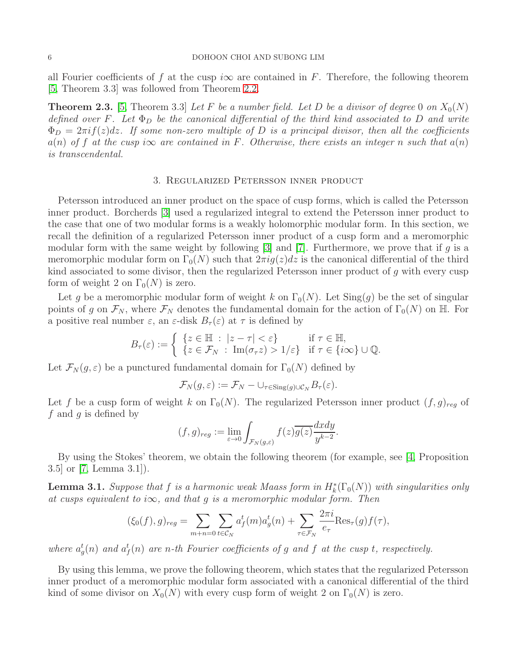all Fourier coefficients of f at the cusp  $i\infty$  are contained in F. Therefore, the following theorem [\[5,](#page-12-3) Theorem 3.3] was followed from Theorem [2.2.](#page-4-1)

**Theorem 2.3.** [\[5,](#page-12-3) Theorem 3.3] Let F be a number field. Let D be a divisor of degree 0 on  $X_0(N)$ defined over F. Let  $\Phi_D$  be the canonical differential of the third kind associated to D and write  $\Phi_D = 2\pi i f(z)dz$ . If some non-zero multiple of D is a principal divisor, then all the coefficients  $a(n)$  of f at the cusp i $\infty$  are contained in F. Otherwise, there exists an integer n such that  $a(n)$ is transcendental.

### 3. Regularized Petersson inner product

<span id="page-5-0"></span>Petersson introduced an inner product on the space of cusp forms, which is called the Petersson inner product. Borcherds [\[3\]](#page-12-4) used a regularized integral to extend the Petersson inner product to the case that one of two modular forms is a weakly holomorphic modular form. In this section, we recall the definition of a regularized Petersson inner product of a cusp form and a meromorphic modular form with the same weight by following  $\lbrack 3\rbrack$  and  $\lbrack 7\rbrack$ . Furthermore, we prove that if g is a meromorphic modular form on  $\Gamma_0(N)$  such that  $2\pi i g(z)dz$  is the canonical differential of the third kind associated to some divisor, then the regularized Petersson inner product of g with every cusp form of weight 2 on  $\Gamma_0(N)$  is zero.

Let g be a meromorphic modular form of weight k on  $\Gamma_0(N)$ . Let  $\text{Sing}(g)$  be the set of singular points of g on  $\mathcal{F}_N$ , where  $\mathcal{F}_N$  denotes the fundamental domain for the action of  $\Gamma_0(N)$  on H. For a positive real number  $\varepsilon$ , an  $\varepsilon$ -disk  $B_{\tau}(\varepsilon)$  at  $\tau$  is defined by

$$
B_{\tau}(\varepsilon) := \begin{cases} \{z \in \mathbb{H} : |z - \tau| < \varepsilon\} \\ \{z \in \mathcal{F}_N : \operatorname{Im}(\sigma_\tau z) > 1/\varepsilon\} \quad \text{if } \tau \in \{\mathrm{i}\infty\} \cup \mathbb{Q}. \end{cases}
$$

Let  $\mathcal{F}_N(g,\varepsilon)$  be a punctured fundamental domain for  $\Gamma_0(N)$  defined by

$$
\mathcal{F}_N(g,\varepsilon) := \mathcal{F}_N - \cup_{\tau \in \mathrm{Sing}(g) \cup \mathcal{C}_N} B_{\tau}(\varepsilon).
$$

Let f be a cusp form of weight k on  $\Gamma_0(N)$ . The regularized Petersson inner product  $(f, g)_{reg}$  of f and q is defined by

$$
(f,g)_{reg} := \lim_{\varepsilon \to 0} \int_{\mathcal{F}_N(g,\varepsilon)} f(z) \overline{g(z)} \frac{dxdy}{y^{k-2}}.
$$

By using the Stokes' theorem, we obtain the following theorem (for example, see [\[4,](#page-12-2) Proposition 3.5] or [\[7,](#page-13-8) Lemma 3.1]).

<span id="page-5-1"></span>**Lemma 3.1.** Suppose that f is a harmonic weak Maass form in  $H_k^*(\Gamma_0(N))$  with singularities only at cusps equivalent to i $\infty$ , and that g is a meromorphic modular form. Then

$$
(\xi_0(f), g)_{reg} = \sum_{m+n=0} \sum_{t \in \mathcal{C}_N} a_f^t(m) a_g^t(n) + \sum_{\tau \in \mathcal{F}_N} \frac{2\pi i}{e_\tau} \text{Res}_{\tau}(g) f(\tau),
$$

where  $a_g^t(n)$  and  $a_f^t(n)$  are n-th Fourier coefficients of g and f at the cusp t, respectively.

By using this lemma, we prove the following theorem, which states that the regularized Petersson inner product of a meromorphic modular form associated with a canonical differential of the third kind of some divisor on  $X_0(N)$  with every cusp form of weight 2 on  $\Gamma_0(N)$  is zero.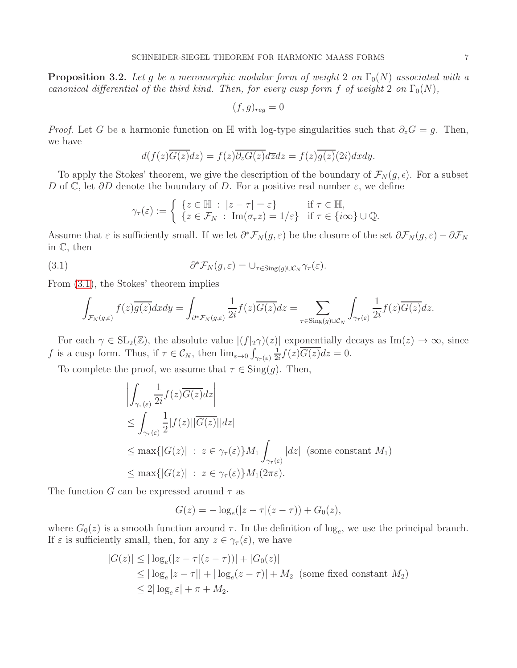<span id="page-6-1"></span>**Proposition 3.2.** Let g be a meromorphic modular form of weight 2 on  $\Gamma_0(N)$  associated with a canonical differential of the third kind. Then, for every cusp form f of weight 2 on  $\Gamma_0(N)$ ,

$$
(f,g)_{reg} = 0
$$

*Proof.* Let G be a harmonic function on H with log-type singularities such that  $\partial_z G = g$ . Then, we have

$$
d(f(z)\overline{G(z)}dz) = f(z)\overline{\partial_z G(z)}d\overline{z}dz = f(z)\overline{g(z)}(2i)dxdy.
$$

To apply the Stokes' theorem, we give the description of the boundary of  $\mathcal{F}_N(g,\epsilon)$ . For a subset D of  $\mathbb C$ , let  $\partial D$  denote the boundary of D. For a positive real number  $\varepsilon$ , we define

<span id="page-6-0"></span>
$$
\gamma_{\tau}(\varepsilon) := \begin{cases} \{z \in \mathbb{H} : |z - \tau| = \varepsilon\} & \text{if } \tau \in \mathbb{H}, \\ \{z \in \mathcal{F}_N : \operatorname{Im}(\sigma_\tau z) = 1/\varepsilon\} & \text{if } \tau \in \{i\infty\} \cup \mathbb{Q}. \end{cases}
$$

Assume that  $\varepsilon$  is sufficiently small. If we let  $\partial^* \mathcal{F}_N(g,\varepsilon)$  be the closure of the set  $\partial \mathcal{F}_N(g,\varepsilon) - \partial \mathcal{F}_N(g,\varepsilon)$ in C, then

(3.1) 
$$
\partial^* \mathcal{F}_N(g, \varepsilon) = \cup_{\tau \in \text{Sing}(g) \cup \mathcal{C}_N} \gamma_\tau(\varepsilon).
$$

From [\(3.1\)](#page-6-0), the Stokes' theorem implies

 $\mathbf{r} = \mathbf{r}$ 

$$
\int_{\mathcal{F}_N(g,\varepsilon)} f(z) \overline{g(z)} dx dy = \int_{\partial^* \mathcal{F}_N(g,\varepsilon)} \frac{1}{2i} f(z) \overline{G(z)} dz = \sum_{\tau \in \text{Sing}(g) \cup \mathcal{C}_N} \int_{\gamma_\tau(\varepsilon)} \frac{1}{2i} f(z) \overline{G(z)} dz.
$$

For each  $\gamma \in SL_2(\mathbb{Z})$ , the absolute value  $|(f|_2\gamma)(z)|$  exponentially decays as  $Im(z) \to \infty$ , since f is a cusp form. Thus, if  $\tau \in \mathcal{C}_N$ , then  $\lim_{\varepsilon \to 0} \int_{\gamma_\tau(\varepsilon)}$ 1  $\frac{1}{2i}f(z)G(z)dz=0.$ 

To complete the proof, we assume that  $\tau \in \text{Sing}(g)$ . Then,

$$
\left| \int_{\gamma_{\tau}(\varepsilon)} \frac{1}{2i} f(z) \overline{G(z)} dz \right|
$$
  
\n
$$
\leq \int_{\gamma_{\tau}(\varepsilon)} \frac{1}{2} |f(z)| |\overline{G(z)}| |dz|
$$
  
\n
$$
\leq \max\{|G(z)| : z \in \gamma_{\tau}(\varepsilon)\} M_1 \int_{\gamma_{\tau}(\varepsilon)} |dz| \text{ (some constant } M_1)
$$
  
\n
$$
\leq \max\{|G(z)| : z \in \gamma_{\tau}(\varepsilon)\} M_1(2\pi\varepsilon).
$$

The function G can be expressed around  $\tau$  as

$$
G(z) = -\log_e(|z - \tau|(z - \tau)) + G_0(z),
$$

where  $G_0(z)$  is a smooth function around  $\tau$ . In the definition of  $log_e$ , we use the principal branch. If  $\varepsilon$  is sufficiently small, then, for any  $z \in \gamma_{\tau}(\varepsilon)$ , we have

$$
|G(z)| \leq |\log_e(|z - \tau|(z - \tau))| + |G_0(z)|
$$
  
\n
$$
\leq |\log_e |z - \tau|| + |\log_e(z - \tau)| + M_2 \text{ (some fixed constant } M_2)
$$
  
\n
$$
\leq 2|\log_e \varepsilon| + \pi + M_2.
$$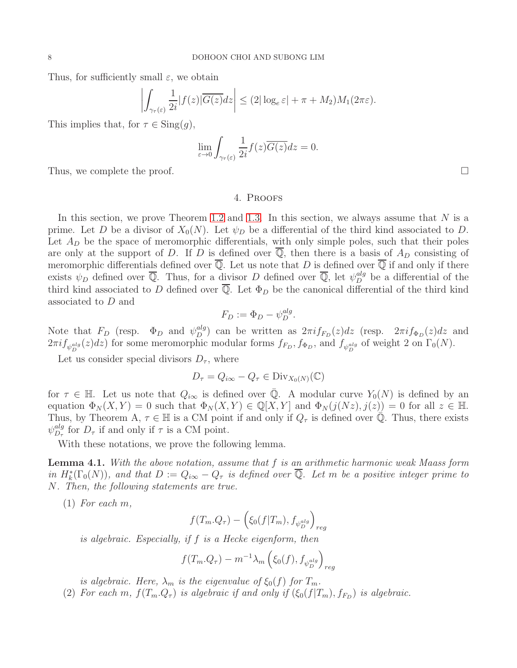Thus, for sufficiently small  $\varepsilon$ , we obtain

$$
\left| \int_{\gamma_\tau(\varepsilon)} \frac{1}{2i} |f(z)| \overline{G(z)} dz \right| \leq (2|\log_e \varepsilon| + \pi + M_2) M_1(2\pi\varepsilon).
$$

This implies that, for  $\tau \in \text{Sing}(q)$ ,

$$
\lim_{\varepsilon \to 0} \int_{\gamma_\tau(\varepsilon)} \frac{1}{2i} f(z) \overline{G(z)} dz = 0.
$$

<span id="page-7-0"></span>Thus, we complete the proof.

## 4. Proofs

In this section, we prove Theorem [1.2](#page-2-0) and [1.3.](#page-2-1) In this section, we always assume that  $N$  is a prime. Let D be a divisor of  $X_0(N)$ . Let  $\psi_D$  be a differential of the third kind associated to D. Let  $A_D$  be the space of meromorphic differentials, with only simple poles, such that their poles are only at the support of D. If D is defined over  $\overline{Q}$ , then there is a basis of  $A_D$  consisting of meromorphic differentials defined over  $\overline{Q}$ . Let us note that D is defined over  $\overline{Q}$  if and only if there exists  $\psi_D$  defined over  $\overline{Q}$ . Thus, for a divisor D defined over  $\overline{Q}$ , let  $\psi_D^{alg}$  be a differential of the third kind associated to D defined over  $\overline{\mathbb{Q}}$ . Let  $\Phi_D$  be the canonical differential of the third kind associated to D and

$$
F_D := \Phi_D - \psi_D^{alg}.
$$

Note that  $F_D$  (resp.  $\Phi_D$  and  $\psi_D^{alg}$ ) can be written as  $2\pi i f_{F_D}(z)dz$  (resp.  $2\pi i f_{\Phi_D}(z)dz$  and  $2\pi i f_{\psi_D^{alg}}(z)dz$ ) for some meromorphic modular forms  $f_{F_D}, f_{\Phi_D}$ , and  $f_{\psi_D^{alg}}$  of weight 2 on  $\Gamma_0(N)$ .

Let us consider special divisors  $D_{\tau}$ , where

$$
D_{\tau} = Q_{i\infty} - Q_{\tau} \in \text{Div}_{X_0(N)}(\mathbb{C})
$$

for  $\tau \in \mathbb{H}$ . Let us note that  $Q_{i\infty}$  is defined over  $\overline{Q}$ . A modular curve  $Y_0(N)$  is defined by an equation  $\Phi_N(X, Y) = 0$  such that  $\Phi_N(X, Y) \in \mathbb{Q}[X, Y]$  and  $\Phi_N(j(Nz), j(z)) = 0$  for all  $z \in \mathbb{H}$ . Thus, by Theorem A,  $\tau \in \mathbb{H}$  is a CM point if and only if  $Q_{\tau}$  is defined over  $\overline{\mathbb{Q}}$ . Thus, there exists  $\psi_{D_{\tau}}^{alg}$  $\frac{alg}{D_{\tau}}$  for  $D_{\tau}$  if and only if  $\tau$  is a CM point.

With these notations, we prove the following lemma.

<span id="page-7-1"></span>Lemma 4.1. With the above notation, assume that f is an arithmetic harmonic weak Maass form in  $H_k^*(\Gamma_0(N))$ , and that  $D := Q_{i\infty} - Q_{\tau}$  is defined over  $\overline{\mathbb{Q}}$ . Let m be a positive integer prime to N. Then, the following statements are true.

(1) For each m,

$$
f(T_m. Q_\tau) - \left(\xi_0(f|T_m), f_{\psi_D^{alg}}\right)_{reg}
$$

is algebraic. Especially, if f is a Hecke eigenform, then

$$
f(T_m.Q_\tau) - m^{-1}\lambda_m \left(\xi_0(f), f_{\psi_D^{alg}}\right)_{reg}
$$

is algebraic. Here,  $\lambda_m$  is the eigenvalue of  $\xi_0(f)$  for  $T_m$ .

(2) For each m,  $f(T_m,Q_\tau)$  is algebraic if and only if  $(\xi_0(f|T_m), f_{F_D})$  is algebraic.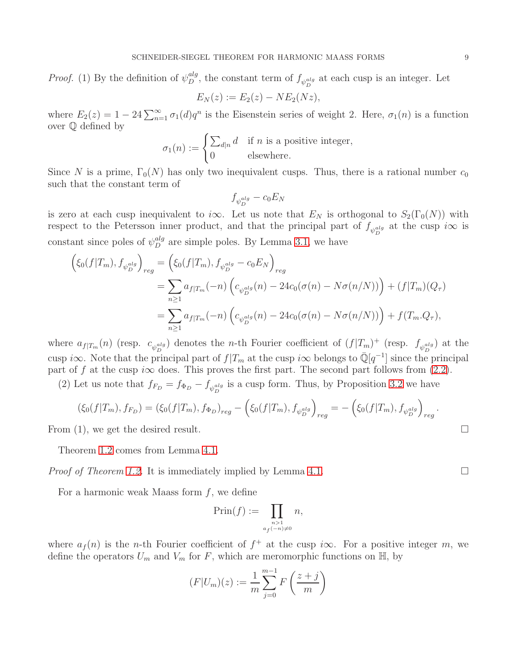*Proof.* (1) By the definition of  $\psi_D^{alg}$ , the constant term of  $f_{\psi_D^{alg}}$  at each cusp is an integer. Let

$$
E_N(z) := E_2(z) - NE_2(Nz),
$$

where  $E_2(z) = 1 - 24 \sum_{n=1}^{\infty} \sigma_1(d) q^n$  is the Eisenstein series of weight 2. Here,  $\sigma_1(n)$  is a function over Q defined by

$$
\sigma_1(n) := \begin{cases} \sum_{d|n} d & \text{if } n \text{ is a positive integer,} \\ 0 & \text{elsewhere.} \end{cases}
$$

Since N is a prime,  $\Gamma_0(N)$  has only two inequivalent cusps. Thus, there is a rational number  $c_0$ such that the constant term of

$$
f_{\psi_D^{alg}} - c_0 E_N
$$

is zero at each cusp inequivalent to i $\infty$ . Let us note that  $E_N$  is orthogonal to  $S_2(\Gamma_0(N))$  with respect to the Petersson inner product, and that the principal part of  $f_{\psi_D^{alg}}$  at the cusp  $i\infty$  is constant since poles of  $\psi_D^{alg}$  are simple poles. By Lemma [3.1,](#page-5-1) we have

$$
\begin{split}\n\left(\xi_0(f|T_m), f_{\psi_D^{alg}}\right)_{reg} &= \left(\xi_0(f|T_m), f_{\psi_D^{alg}} - c_0 E_N\right)_{reg} \\
&= \sum_{n\geq 1} a_{f|T_m}(-n) \left(c_{\psi_D^{alg}}(n) - 24c_0(\sigma(n) - N\sigma(n/N))\right) + (f|T_m)(Q_\tau) \\
&= \sum_{n\geq 1} a_{f|T_m}(-n) \left(c_{\psi_D^{alg}}(n) - 24c_0(\sigma(n) - N\sigma(n/N))\right) + f(T_m, Q_\tau),\n\end{split}
$$

where  $a_{f|T_m}(n)$  (resp.  $c_{\psi_D^{alg}}$ ) denotes the *n*-th Fourier coefficient of  $(f|T_m)^+$  (resp.  $f_{\psi_D^{alg}}$ ) at the cusp i $\infty$ . Note that the principal part of  $f|_{T_m}$  at the cusp i $\infty$  belongs to  $\overline{\mathbb{Q}}[q^{-1}]$  since the principal part of f at the cusp i $\infty$  does. This proves the first part. The second part follows from [\(2.2\)](#page-3-1).

(2) Let us note that  $f_{F_D} = f_{\Phi_D} - f_{\psi_D^{alg}}$  is a cusp form. Thus, by Proposition [3.2](#page-6-1) we have

$$
(\xi_0(f|T_m), f_{F_D}) = (\xi_0(f|T_m), f_{\Phi_D})_{reg} - (\xi_0(f|T_m), f_{\psi_D^{alg}})_{reg} = - (\xi_0(f|T_m), f_{\psi_D^{alg}})_{reg}.
$$

From (1), we get the desired result.

Theorem [1.2](#page-2-0) comes from Lemma [4.1.](#page-7-1)

*Proof of Theorem [1.2.](#page-2-0)* It is immediately implied by Lemma [4.1.](#page-7-1)

For a harmonic weak Maass form  $f$ , we define

$$
\text{Prin}(f) := \prod_{\substack{n>1\\ a_f(-n)\neq 0}} n,
$$

where  $a_f(n)$  is the n-th Fourier coefficient of  $f^+$  at the cusp i $\infty$ . For a positive integer m, we define the operators  $U_m$  and  $V_m$  for F, which are meromorphic functions on  $\mathbb{H}$ , by

$$
(F|U_m)(z) := \frac{1}{m} \sum_{j=0}^{m-1} F\left(\frac{z+j}{m}\right)
$$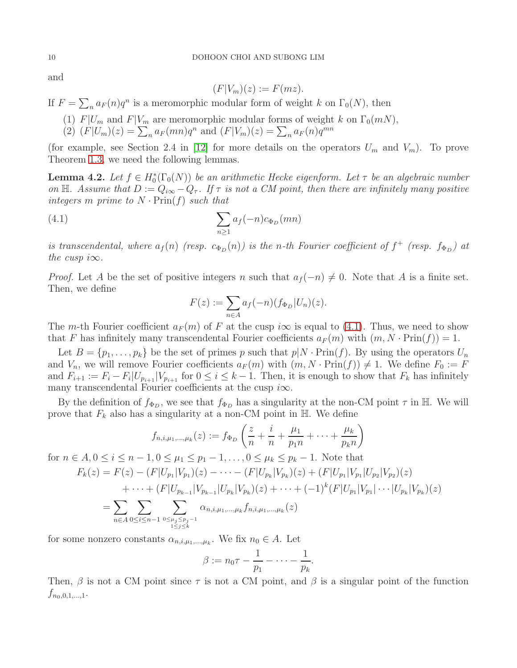and

$$
(F|V_m)(z) := F(mz).
$$

If  $F = \sum_n a_F(n)q^n$  is a meromorphic modular form of weight k on  $\Gamma_0(N)$ , then

- (1)  $F|U_m$  and  $F|V_m$  are meromorphic modular forms of weight k on  $\Gamma_0(mN)$ ,
- (2)  $(F|U_m)(z) = \sum_n a_F(mn)q^n$  and  $(F|V_m)(z) = \sum_n a_F(n)q^{mn}$

(for example, see Section 2.4 in [\[12\]](#page-13-9) for more details on the operators  $U_m$  and  $V_m$ ). To prove Theorem [1.3,](#page-2-1) we need the following lemmas.

<span id="page-9-1"></span>**Lemma 4.2.** Let  $f \in H_0^*(\Gamma_0(N))$  be an arithmetic Hecke eigenform. Let  $\tau$  be an algebraic number on H. Assume that  $D := Q_{i\infty} - Q_{\tau}$ . If  $\tau$  is not a CM point, then there are infinitely many positive integers m prime to  $N \cdot \text{Prin}(f)$  such that

(4.1) 
$$
\sum_{n\geq 1} a_f(-n)c_{\Phi_D}(mn)
$$

is transcendental, where  $a_f(n)$  (resp.  $c_{\Phi_D}(n)$ ) is the n-th Fourier coefficient of  $f^+$  (resp.  $f_{\Phi_D}$ ) at the cusp i $\infty$ .

*Proof.* Let A be the set of positive integers n such that  $a_f(-n) \neq 0$ . Note that A is a finite set. Then, we define

<span id="page-9-0"></span>
$$
F(z) := \sum_{n \in A} a_f(-n) (f_{\Phi_D} | U_n)(z).
$$

The m-th Fourier coefficient  $a_F(m)$  of F at the cusp i $\infty$  is equal to [\(4.1\)](#page-9-0). Thus, we need to show that F has infinitely many transcendental Fourier coefficients  $a_F(m)$  with  $(m, N \cdot \text{Prin}(f)) = 1$ .

Let  $B = \{p_1, \ldots, p_k\}$  be the set of primes p such that  $p|N \cdot \text{Prin}(f)$ . By using the operators  $U_n$ and  $V_n$ , we will remove Fourier coefficients  $a_F(m)$  with  $(m, N \cdot \text{Prin}(f)) \neq 1$ . We define  $F_0 := F$ and  $F_{i+1} := F_i - F_i |U_{p_{i+1}}| V_{p_{i+1}}$  for  $0 \le i \le k-1$ . Then, it is enough to show that  $F_k$  has infinitely many transcendental Fourier coefficients at the cusp  $i\infty$ .

By the definition of  $f_{\Phi_D}$ , we see that  $f_{\Phi_D}$  has a singularity at the non-CM point  $\tau$  in H. We will prove that  $F_k$  also has a singularity at a non-CM point in  $\mathbb H$ . We define

$$
f_{n,i,\mu_1,...,\mu_k}(z) := f_{\Phi_D}\left(\frac{z}{n} + \frac{i}{n} + \frac{\mu_1}{p_1 n} + \dots + \frac{\mu_k}{p_k n}\right)
$$

for  $n \in A, 0 \le i \le n-1, 0 \le \mu_1 \le p_1 - 1, \ldots, 0 \le \mu_k \le p_k - 1$ . Note that

$$
F_k(z) = F(z) - (F|U_{p_1}|V_{p_1})(z) - \cdots - (F|U_{p_k}|V_{p_k})(z) + (F|U_{p_1}|V_{p_1}|U_{p_2}|V_{p_2})(z) + \cdots + (F|U_{p_{k-1}}|V_{p_{k-1}}|U_{p_k}|V_{p_k})(z) + \cdots + (-1)^k (F|U_{p_1}|V_{p_1}| \cdots |U_{p_k}|V_{p_k})(z) = \sum_{n \in A} \sum_{0 \le i \le n-1} \sum_{\substack{0 \le \mu_j \le p_j-1 \ 1 \le j \le k}} \alpha_{n,i,\mu_1,\ldots,\mu_k} f_{n,i,\mu_1,\ldots,\mu_k}(z)
$$

for some nonzero constants  $\alpha_{n,i,\mu_1,\dots,\mu_k}$ . We fix  $n_0 \in A$ . Let

$$
\beta := n_0 \tau - \frac{1}{p_1} - \cdots - \frac{1}{p_k}.
$$

Then,  $\beta$  is not a CM point since  $\tau$  is not a CM point, and  $\beta$  is a singular point of the function  $f_{n_0,0,1,...,1}$ .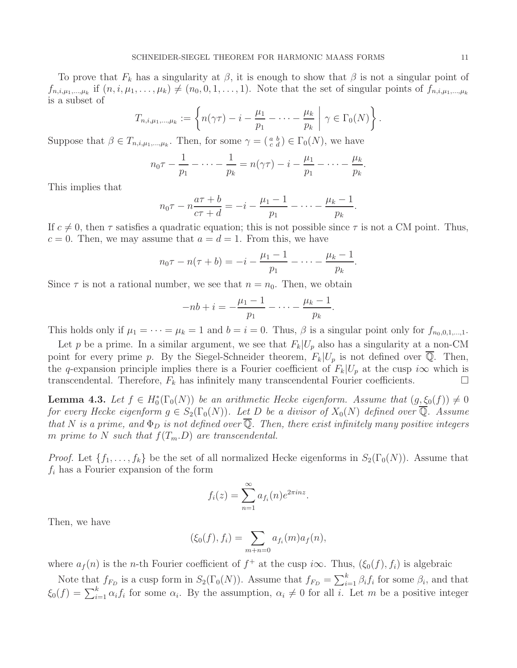To prove that  $F_k$  has a singularity at  $\beta$ , it is enough to show that  $\beta$  is not a singular point of  $f_{n,i,\mu_1,\dots,\mu_k}$  if  $(n,i,\mu_1,\dots,\mu_k) \neq (n_0,0,1,\dots,1)$ . Note that the set of singular points of  $f_{n,i,\mu_1,\dots,\mu_k}$ is a subset of

$$
T_{n,i,\mu_1,\dots,\mu_k} := \left\{ n(\gamma \tau) - i - \frac{\mu_1}{p_1} - \dots - \frac{\mu_k}{p_k} \mid \gamma \in \Gamma_0(N) \right\}.
$$

Suppose that  $\beta \in T_{n,i,\mu_1,\dots,\mu_k}$ . Then, for some  $\gamma = \binom{a \ b}{c \ d} \in \Gamma_0(N)$ , we have

$$
n_0 \tau - \frac{1}{p_1} - \dots - \frac{1}{p_k} = n(\gamma \tau) - i - \frac{\mu_1}{p_1} - \dots - \frac{\mu_k}{p_k}.
$$

This implies that

$$
n_0 \tau - n \frac{a \tau + b}{c \tau + d} = -i - \frac{\mu_1 - 1}{p_1} - \dots - \frac{\mu_k - 1}{p_k}
$$

.

If  $c \neq 0$ , then  $\tau$  satisfies a quadratic equation; this is not possible since  $\tau$  is not a CM point. Thus,  $c = 0$ . Then, we may assume that  $a = d = 1$ . From this, we have

$$
n_0\tau - n(\tau + b) = -i - \frac{\mu_1 - 1}{p_1} - \dots - \frac{\mu_k - 1}{p_k}.
$$

Since  $\tau$  is not a rational number, we see that  $n = n_0$ . Then, we obtain

$$
-nb + i = -\frac{\mu_1 - 1}{p_1} - \dots - \frac{\mu_k - 1}{p_k}.
$$

This holds only if  $\mu_1 = \cdots = \mu_k = 1$  and  $b = i = 0$ . Thus,  $\beta$  is a singular point only for  $f_{n_0,0,1,\dots,1}$ .

Let p be a prime. In a similar argument, we see that  $F_k|U_p$  also has a singularity at a non-CM point for every prime p. By the Siegel-Schneider theorem,  $F_k|U_p$  is not defined over  $\overline{Q}$ . Then, the q-expansion principle implies there is a Fourier coefficient of  $F_k|U_p$  at the cusp  $i\infty$  which is transcendental. Therefore,  $F_k$  has infinitely many transcendental Fourier coefficients.

<span id="page-10-0"></span>**Lemma 4.3.** Let  $f \in H_0^*(\Gamma_0(N))$  be an arithmetic Hecke eigenform. Assume that  $(g, \xi_0(f)) \neq 0$ for every Hecke eigenform  $g \in S_2(\Gamma_0(N))$ . Let D be a divisor of  $X_0(N)$  defined over  $\overline{\mathbb{Q}}$ . Assume that N is a prime, and  $\Phi_D$  is not defined over Q. Then, there exist infinitely many positive integers m prime to N such that  $f(T_m.D)$  are transcendental.

*Proof.* Let  $\{f_1, \ldots, f_k\}$  be the set of all normalized Hecke eigenforms in  $S_2(\Gamma_0(N))$ . Assume that  $f_i$  has a Fourier expansion of the form

$$
f_i(z) = \sum_{n=1}^{\infty} a_{f_i}(n) e^{2\pi i n z}.
$$

Then, we have

$$
(\xi_0(f), f_i) = \sum_{m+n=0} a_{f_i}(m) a_f(n),
$$

where  $a_f(n)$  is the *n*-th Fourier coefficient of  $f^+$  at the cusp i $\infty$ . Thus,  $(\xi_0(f), f_i)$  is algebraic

Note that  $f_{F_D}$  is a cusp form in  $S_2(\Gamma_0(N))$ . Assume that  $f_{F_D} = \sum_{i=1}^k \beta_i f_i$  for some  $\beta_i$ , and that  $\xi_0(f) = \sum_{i=1}^k \alpha_i f_i$  for some  $\alpha_i$ . By the assumption,  $\alpha_i \neq 0$  for all i. Let m be a positive integer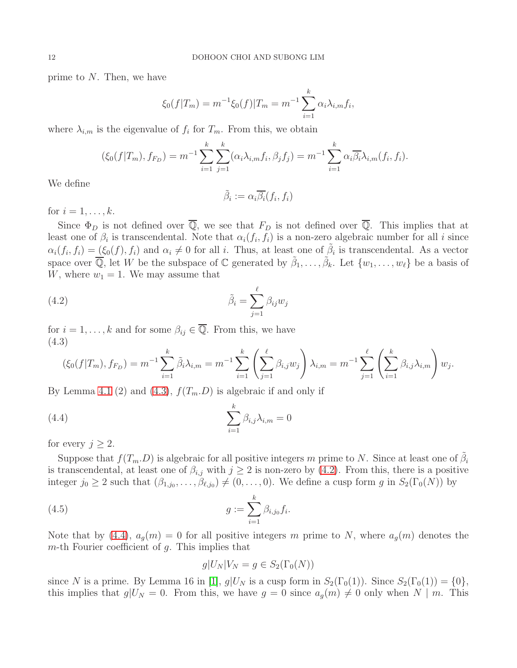prime to  $N$ . Then, we have

$$
\xi_0(f|T_m) = m^{-1}\xi_0(f)|T_m = m^{-1}\sum_{i=1}^k \alpha_i \lambda_{i,m} f_i,
$$

where  $\lambda_{i,m}$  is the eigenvalue of  $f_i$  for  $T_m$ . From this, we obtain

$$
(\xi_0(f|T_m), f_{F_D}) = m^{-1} \sum_{i=1}^k \sum_{j=1}^k (\alpha_i \lambda_{i,m} f_i, \beta_j f_j) = m^{-1} \sum_{i=1}^k \alpha_i \overline{\beta_i} \lambda_{i,m}(f_i, f_i).
$$

We define

<span id="page-11-1"></span>
$$
\tilde{\beta}_i := \alpha_i \overline{\beta_i}(f_i, f_i)
$$

for  $i = 1, \ldots, k$ .

Since  $\Phi_D$  is not defined over  $\overline{\mathbb{Q}}$ , we see that  $F_D$  is not defined over  $\overline{\mathbb{Q}}$ . This implies that at least one of  $\beta_i$  is transcendental. Note that  $\alpha_i(f_i, f_i)$  is a non-zero algebraic number for all i since  $\alpha_i(f_i, f_i) = (\xi_0(f), f_i)$  and  $\alpha_i \neq 0$  for all i. Thus, at least one of  $\tilde{\beta}_i$  is transcendental. As a vector space over  $\overline{\mathbb{Q}}$ , let W be the subspace of C generated by  $\tilde{\beta}_1,\ldots,\tilde{\beta}_k$ . Let  $\{w_1,\ldots,w_\ell\}$  be a basis of W, where  $w_1 = 1$ . We may assume that

(4.2) 
$$
\tilde{\beta}_i = \sum_{j=1}^{\ell} \beta_{ij} w_j
$$

for  $i = 1, \ldots, k$  and for some  $\beta_{ij} \in \overline{Q}$ . From this, we have (4.3)

<span id="page-11-0"></span>
$$
(\xi_0(f|T_m), f_{F_D}) = m^{-1} \sum_{i=1}^k \tilde{\beta}_i \lambda_{i,m} = m^{-1} \sum_{i=1}^k \left( \sum_{j=1}^\ell \beta_{i,j} w_j \right) \lambda_{i,m} = m^{-1} \sum_{j=1}^\ell \left( \sum_{i=1}^k \beta_{i,j} \lambda_{i,m} \right) w_j.
$$

By Lemma [4.1](#page-7-1) (2) and [\(4.3\)](#page-11-0),  $f(T_m.D)$  is algebraic if and only if

(4.4) 
$$
\sum_{i=1}^{k} \beta_{i,j} \lambda_{i,m} = 0
$$

for every  $j \geq 2$ .

Suppose that  $f(T_m.D)$  is algebraic for all positive integers m prime to N. Since at least one of  $\tilde{\beta}_i$ is transcendental, at least one of  $\beta_{i,j}$  with  $j \geq 2$  is non-zero by [\(4.2\)](#page-11-1). From this, there is a positive integer  $j_0 \geq 2$  such that  $(\beta_{1,j_0}, \ldots, \beta_{\ell,j_0}) \neq (0,\ldots,0)$ . We define a cusp form g in  $S_2(\Gamma_0(N))$  by

(4.5) 
$$
g := \sum_{i=1}^{k} \beta_{i,j_0} f_i.
$$

Note that by [\(4.4\)](#page-11-2),  $a_g(m) = 0$  for all positive integers m prime to N, where  $a_g(m)$  denotes the  $m$ -th Fourier coefficient of  $q$ . This implies that

<span id="page-11-3"></span><span id="page-11-2"></span>
$$
g|U_N|V_N = g \in S_2(\Gamma_0(N))
$$

since N is a prime. By Lemma 16 in [\[1\]](#page-12-5),  $g|U_N$  is a cusp form in  $S_2(\Gamma_0(1))$ . Since  $S_2(\Gamma_0(1)) = \{0\},$ this implies that  $g|U_N = 0$ . From this, we have  $g = 0$  since  $a_q(m) \neq 0$  only when N | m. This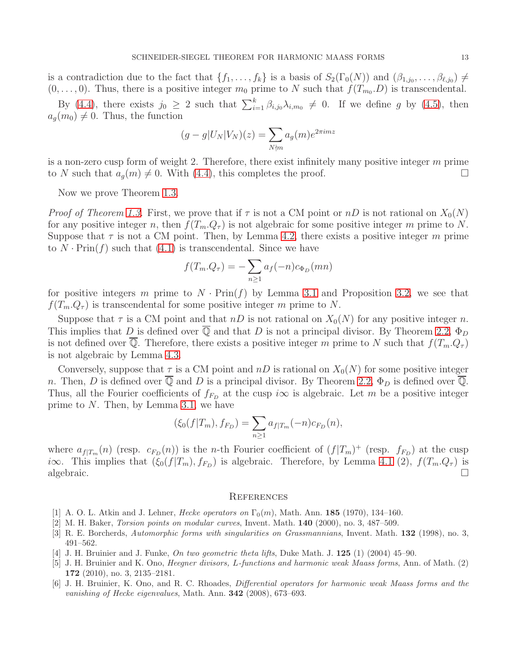is a contradiction due to the fact that  $\{f_1, \ldots, f_k\}$  is a basis of  $S_2(\Gamma_0(N))$  and  $(\beta_{1,j_0}, \ldots, \beta_{\ell,j_0}) \neq$  $(0, \ldots, 0)$ . Thus, there is a positive integer  $m_0$  prime to N such that  $f(T_{m_0}.D)$  is transcendental.

By [\(4.4\)](#page-11-2), there exists  $j_0 \geq 2$  such that  $\sum_{i=1}^k \beta_{i,j_0} \lambda_{i,m_0} \neq 0$ . If we define g by [\(4.5\)](#page-11-3), then  $a_q(m_0) \neq 0$ . Thus, the function

$$
(g - g|U_N|V_N)(z) = \sum_{N \nmid m} a_g(m)e^{2\pi imz}
$$

is a non-zero cusp form of weight 2. Therefore, there exist infinitely many positive integer  $m$  prime to N such that  $a_q(m) \neq 0$ . With [\(4.4\)](#page-11-2), this completes the proof.

Now we prove Theorem [1.3.](#page-2-1)

*Proof of Theorem [1.3.](#page-2-1)* First, we prove that if  $\tau$  is not a CM point or nD is not rational on  $X_0(N)$ for any positive integer n, then  $f(T_m, Q_\tau)$  is not algebraic for some positive integer m prime to N. Suppose that  $\tau$  is not a CM point. Then, by Lemma [4.2,](#page-9-1) there exists a positive integer m prime to  $N \cdot \text{Prin}(f)$  such that  $(4.1)$  is transcendental. Since we have

$$
f(T_m.Q_\tau) = -\sum_{n\geq 1} a_f(-n)c_{\Phi_D}(mn)
$$

for positive integers m prime to  $N \cdot \text{Prin}(f)$  by Lemma [3.1](#page-5-1) and Proposition [3.2,](#page-6-1) we see that  $f(T_m, Q_\tau)$  is transcendental for some positive integer m prime to N.

Suppose that  $\tau$  is a CM point and that  $nD$  is not rational on  $X_0(N)$  for any positive integer n. This implies that D is defined over  $\overline{Q}$  and that D is not a principal divisor. By Theorem [2.2,](#page-4-1)  $\Phi_D$ is not defined over  $\overline{Q}$ . Therefore, there exists a positive integer m prime to N such that  $f(T_m, Q_\tau)$ is not algebraic by Lemma [4.3.](#page-10-0)

Conversely, suppose that  $\tau$  is a CM point and  $nD$  is rational on  $X_0(N)$  for some positive integer n. Then, D is defined over  $\overline{Q}$  and D is a principal divisor. By Theorem [2.2,](#page-4-1)  $\Phi_D$  is defined over  $\overline{Q}$ . Thus, all the Fourier coefficients of  $f_{F_D}$  at the cusp  $i\infty$  is algebraic. Let m be a positive integer prime to N. Then, by Lemma [3.1,](#page-5-1) we have

$$
(\xi_0(f|T_m), f_{F_D}) = \sum_{n \ge 1} a_{f|T_m}(-n)c_{F_D}(n),
$$

where  $a_{f|T_m}(n)$  (resp.  $c_{F_D}(n)$ ) is the *n*-th Fourier coefficient of  $(f|T_m)^+$  (resp.  $f_{F_D}$ ) at the cusp *i*∞. This implies that  $(\xi_0(f|T_m), f_{F_D})$  is algebraic. Therefore, by Lemma [4.1](#page-7-1) (2),  $f(T_m, Q_\tau)$  is algebraic.  $\square$ 

#### **REFERENCES**

- <span id="page-12-5"></span><span id="page-12-1"></span>[1] A. O. L. Atkin and J. Lehner, *Hecke operators on*  $\Gamma_0(m)$ , Math. Ann. **185** (1970), 134–160.
- <span id="page-12-4"></span> $[2]$  M. H. Baker, *Torsion points on modular curves*, Invent. Math.  $140$   $(2000)$ , no. 3, 487–509.
- <span id="page-12-2"></span>[3] R. E. Borcherds, Automorphic forms with singularities on Grassmannians, Invent. Math. 132 (1998), no. 3, 491–562.
- <span id="page-12-3"></span>[4] J. H. Bruinier and J. Funke, On two geometric theta lifts, Duke Math. J. 125 (1) (2004) 45–90.
- [5] J. H. Bruinier and K. Ono, Heegner divisors, L-functions and harmonic weak Maass forms, Ann. of Math. (2) 172 (2010), no. 3, 2135–2181.
- <span id="page-12-0"></span>[6] J. H. Bruinier, K. Ono, and R. C. Rhoades, Differential operators for harmonic weak Maass forms and the vanishing of Hecke eigenvalues, Math. Ann. 342 (2008), 673–693.